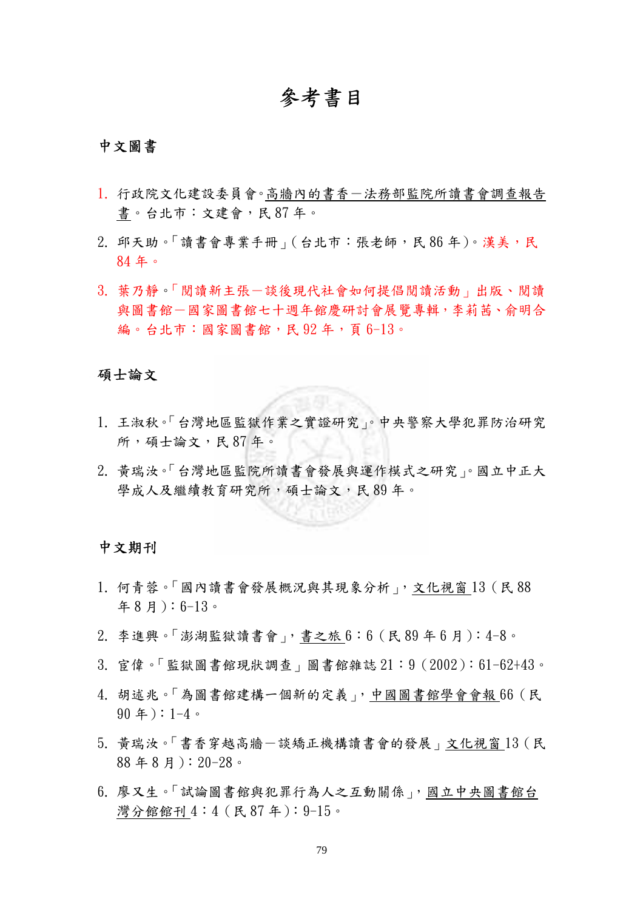# 參考書目

# 中文圖書

- 1. 行政院文化建設委員會。高牆內的書香-法務部監院所讀書會調查報告 書。台北市:文建會,民 87 年。
- 2. 邱天助。「讀書會專業手冊」(台北市:張老師,民86年)。漢美,民 84 年。
- 3. 葉乃靜。「閱讀新主張-談後現代社會如何提倡閱讀活動」出版、閱讀 與圖書館一國家圖書館七十週年館慶研討會展覽專輯,李莉茜、俞明合 編。台北市:國家圖書館,民92年,頁6-13。

#### 碩士論文

- 1. 王淑秋。「台灣地區監獄作業之實證研究」。中央警察大學犯罪防治研究 所,碩士論文,民 87年。
- 2. 黃瑞汝。「台灣地區監院所讀書會發展與運作模式之研究」。國立中正大 學成人及繼續教育研究所,碩士論文,民 89年。

#### 中文期刊

- 1. 何青蓉。「國內讀書會發展概況與其現象分析」,文化視窗 13(民 88 年 8 月):6-13。
- 2. 李進興。「澎湖監獄讀書會」,書之旅 6:6(民 89 年 6 月):4-8。
- 3. 宦偉。「監獄圖書館現狀調查」圖書館雜誌 21:9(2002):61-62+43。
- 4. 胡述兆。「為圖書館建構一個新的定義」,中國圖書館學會會報 66(民 90 年):1-4。
- 5. 黃瑞汝。「書香穿越高牆一談矯正機構讀書會的發展」文化視窗13(民 88 年 8 月):20-28。
- 6. 廖又生。「試論圖書館與犯罪行為人之互動關係」,國立中央圖書館台 灣分館館刊 4:4(民 87 年):9-15。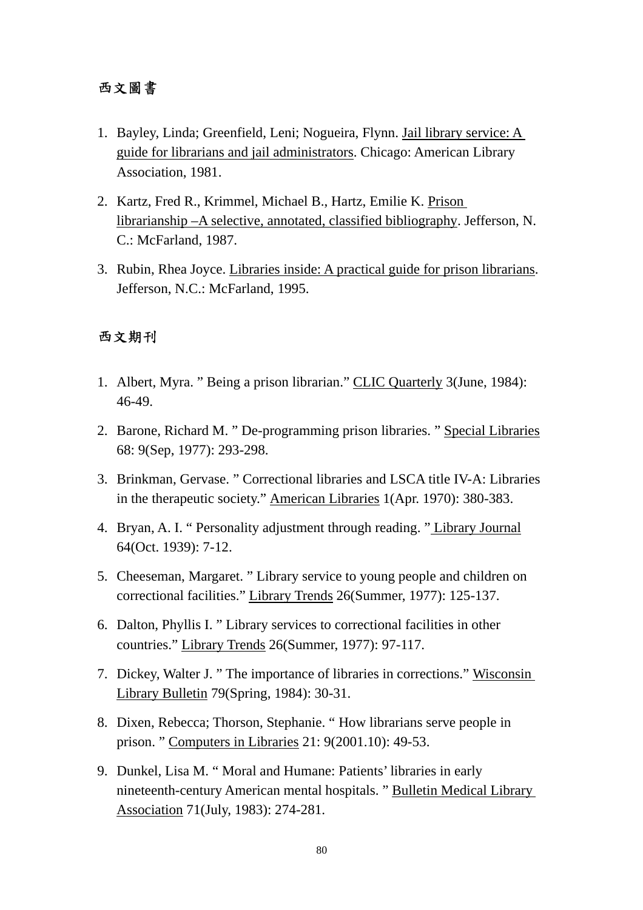# 西文圖書

- 1. Bayley, Linda; Greenfield, Leni; Nogueira, Flynn. Jail library service: A guide for librarians and jail administrators. Chicago: American Library Association, 1981.
- 2. Kartz, Fred R., Krimmel, Michael B., Hartz, Emilie K. Prison librarianship –A selective, annotated, classified bibliography. Jefferson, N. C.: McFarland, 1987.
- 3. Rubin, Rhea Joyce. Libraries inside: A practical guide for prison librarians. Jefferson, N.C.: McFarland, 1995.

# 西文期刊

- 1. Albert, Myra. " Being a prison librarian." CLIC Quarterly 3(June, 1984): 46-49.
- 2. Barone, Richard M. " De-programming prison libraries. " Special Libraries 68: 9(Sep, 1977): 293-298.
- 3. Brinkman, Gervase. " Correctional libraries and LSCA title IV-A: Libraries in the therapeutic society." American Libraries 1(Apr. 1970): 380-383.
- 4. Bryan, A. I. " Personality adjustment through reading. " Library Journal 64(Oct. 1939): 7-12.
- 5. Cheeseman, Margaret. " Library service to young people and children on correctional facilities." Library Trends 26(Summer, 1977): 125-137.
- 6. Dalton, Phyllis I. " Library services to correctional facilities in other countries." Library Trends 26(Summer, 1977): 97-117.
- 7. Dickey, Walter J. " The importance of libraries in corrections." Wisconsin Library Bulletin 79(Spring, 1984): 30-31.
- 8. Dixen, Rebecca; Thorson, Stephanie. " How librarians serve people in prison. " Computers in Libraries 21: 9(2001.10): 49-53.
- 9. Dunkel, Lisa M. " Moral and Humane: Patients' libraries in early nineteenth-century American mental hospitals. " Bulletin Medical Library Association 71(July, 1983): 274-281.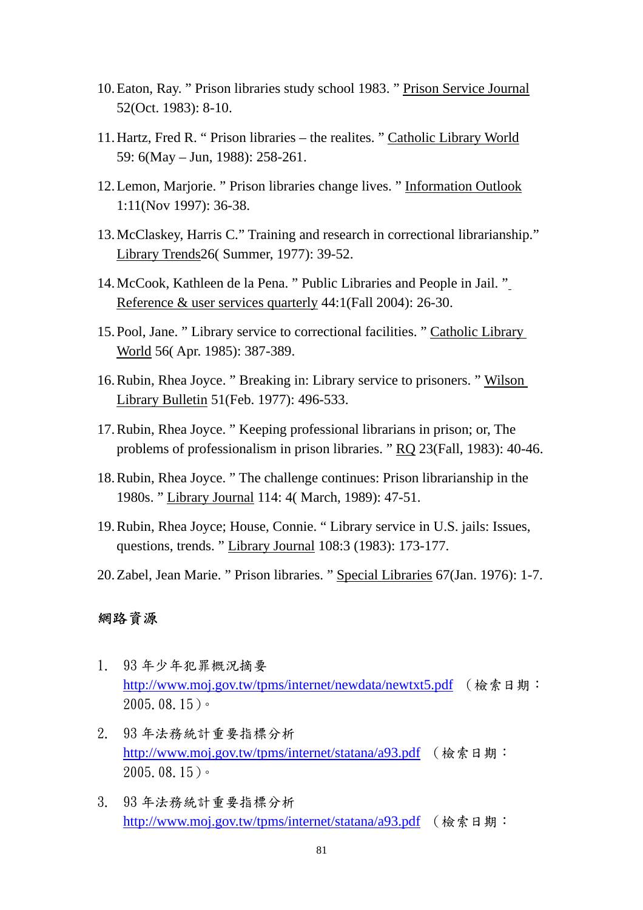- 10.Eaton, Ray. " Prison libraries study school 1983. " Prison Service Journal 52(Oct. 1983): 8-10.
- 11.Hartz, Fred R. " Prison libraries the realites. " Catholic Library World 59: 6(May – Jun, 1988): 258-261.
- 12.Lemon, Marjorie. " Prison libraries change lives. " Information Outlook 1:11(Nov 1997): 36-38.
- 13.McClaskey, Harris C." Training and research in correctional librarianship." Library Trends26( Summer, 1977): 39-52.
- 14.McCook, Kathleen de la Pena. " Public Libraries and People in Jail. " Reference & user services quarterly 44:1(Fall 2004): 26-30.
- 15.Pool, Jane. " Library service to correctional facilities. " Catholic Library World 56( Apr. 1985): 387-389.
- 16.Rubin, Rhea Joyce. " Breaking in: Library service to prisoners. " Wilson Library Bulletin 51(Feb. 1977): 496-533.
- 17.Rubin, Rhea Joyce. " Keeping professional librarians in prison; or, The problems of professionalism in prison libraries. " RQ 23(Fall, 1983): 40-46.
- 18.Rubin, Rhea Joyce. " The challenge continues: Prison librarianship in the 1980s. " Library Journal 114: 4( March, 1989): 47-51.
- 19.Rubin, Rhea Joyce; House, Connie. " Library service in U.S. jails: Issues, questions, trends. " Library Journal 108:3 (1983): 173-177.
- 20.Zabel, Jean Marie. " Prison libraries. " Special Libraries 67(Jan. 1976): 1-7.

### 網路資源

- 1. 93 年少年犯罪概況摘要 http://www.moj.gov.tw/tpms/internet/newdata/newtxt5.pdf (檢索日期: 2005.08.15)。
- 2. 93 年法務統計重要指標分析 http://www.moj.gov.tw/tpms/internet/statana/a93.pdf (檢索日期: 2005.08.15)。
- 3. 93 年法務統計重要指標分析 http://www.moj.gov.tw/tpms/internet/statana/a93.pdf (檢索日期: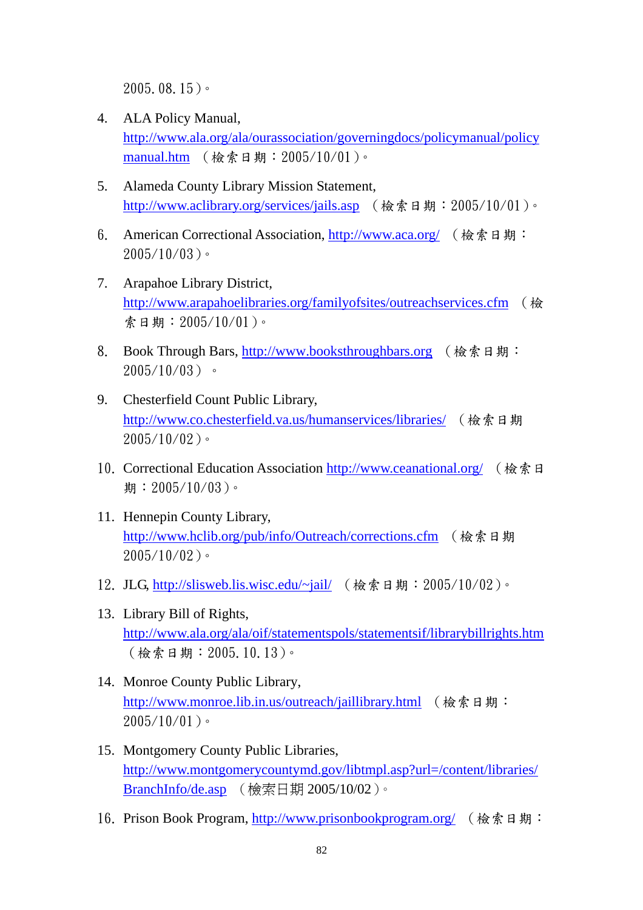2005.08.15)。

- 4. ALA Policy Manual, http://www.ala.org/ala/ourassociation/governingdocs/policymanual/policy manual.htm (檢索日期: 2005/10/01)。
- 5. Alameda County Library Mission Statement, http://www.aclibrary.org/services/jails.asp (檢索日期: 2005/10/01)。
- 6. American Correctional Association, http://www.aca.org/ (檢索日期:  $2005/10/03$ )。
- 7. Arapahoe Library District, http://www.arapahoelibraries.org/familyofsites/outreachservices.cfm (檢 索日期:2005/10/01)。
- 8. Book Through Bars, http://www.booksthroughbars.org (檢索日期:  $2005/10/03$ )。
- 9. Chesterfield Count Public Library, http://www.co.chesterfield.va.us/humanservices/libraries/ (檢索日期  $2005/10/02$ )。
- 10. Correctional Education Association http://www.ceanational.org/ (檢索日 期:  $2005/10/03$ )。
- 11. Hennepin County Library, http://www.hclib.org/pub/info/Outreach/corrections.cfm (檢索日期  $2005/10/02$ )。
- 12. JLG, http://slisweb.lis.wisc.edu/~jail/ (檢索日期: 2005/10/02)。
- 13. Library Bill of Rights, http://www.ala.org/ala/oif/statementspols/statementsif/librarybillrights.htm (檢索日期:2005.10.13)。
- 14. Monroe County Public Library, http://www.monroe.lib.in.us/outreach/jaillibrary.html (檢索日期:  $2005/10/01$ )。
- 15. Montgomery County Public Libraries, http://www.montgomerycountymd.gov/libtmpl.asp?url=/content/libraries/ BranchInfo/de.asp (檢索日期 2005/10/02)。
- 16. Prison Book Program, http://www.prisonbookprogram.org/ (檢索日期: